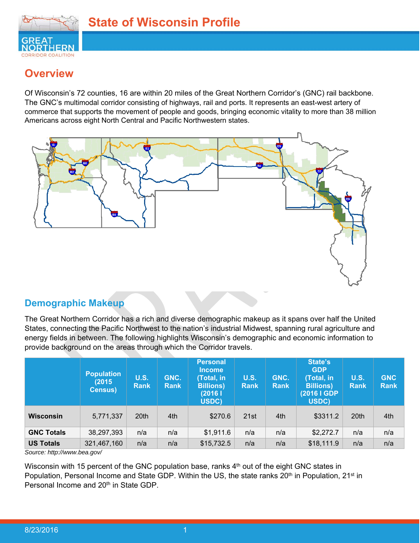

# **Overview**

Of Wisconsin's 72 counties, 16 are within 20 miles of the Great Northern Corridor's (GNC) rail backbone. The GNC's multimodal corridor consisting of highways, rail and ports. It represents an east-west artery of commerce that supports the movement of people and goods, bringing economic vitality to more than 38 million Americans across eight North Central and Pacific Northwestern states.



## **Demographic Makeup**

The Great Northern Corridor has a rich and diverse demographic makeup as it spans over half the United States, connecting the Pacific Northwest to the nation's industrial Midwest, spanning rural agriculture and energy fields in between. The following highlights Wisconsin's demographic and economic information to provide background on the areas through which the Corridor travels.

|                   | <b>Population</b><br>(2015)<br><b>Census</b> ) | <b>U.S.</b><br><b>Rank</b> | GNC.<br><b>Rank</b> | <b>Personal</b><br><b>Income</b><br>(Total, in<br><b>Billions</b> )<br>(2016)<br>USDC) | <b>U.S.</b><br><b>Rank</b> | GNC.<br><b>Rank</b> | State's<br><b>GDP</b><br>(Total, in<br><b>Billions</b> )<br>(2016   GDP<br>USDC) | <b>U.S.</b><br>Rank | <b>GNC</b><br><b>Rank</b> |
|-------------------|------------------------------------------------|----------------------------|---------------------|----------------------------------------------------------------------------------------|----------------------------|---------------------|----------------------------------------------------------------------------------|---------------------|---------------------------|
| Wisconsin         | 5,771,337                                      | 20th                       | 4th                 | \$270.6                                                                                | 21st                       | 4th                 | \$3311.2                                                                         | 20th                | 4th                       |
| <b>GNC Totals</b> | 38,297,393                                     | n/a                        | n/a                 | \$1,911.6                                                                              | n/a                        | n/a                 | \$2,272.7                                                                        | n/a                 | n/a                       |
| <b>US Totals</b>  | 321,467,160                                    | n/a                        | n/a                 | \$15,732.5                                                                             | n/a                        | n/a                 | \$18,111.9                                                                       | n/a                 | n/a                       |

*Source: http://www.bea.gov/* 

Wisconsin with 15 percent of the GNC population base, ranks 4<sup>th</sup> out of the eight GNC states in Population, Personal Income and State GDP. Within the US, the state ranks 20<sup>th</sup> in Population, 21<sup>st</sup> in Personal Income and 20<sup>th</sup> in State GDP.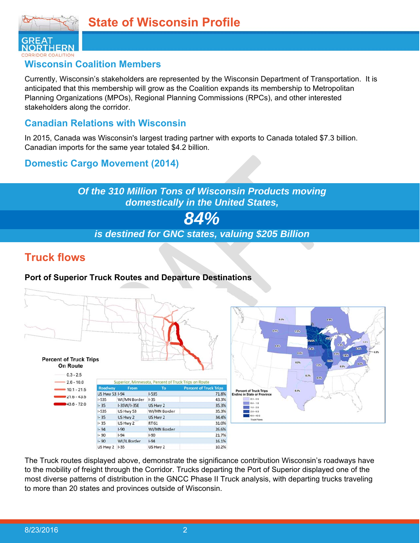

### **Wisconsin Coalition Members**

Currently, Wisconsin's stakeholders are represented by the Wisconsin Department of Transportation. It is anticipated that this membership will grow as the Coalition expands its membership to Metropolitan Planning Organizations (MPOs), Regional Planning Commissions (RPCs), and other interested stakeholders along the corridor.

### **Canadian Relations with Wisconsin**

In 2015, Canada was Wisconsin's largest trading partner with exports to Canada totaled \$7.3 billion. Canadian imports for the same year totaled \$4.2 billion.

## **Domestic Cargo Movement (2014)**

*Of the 310 Million Tons of Wisconsin Products moving domestically in the United States, 84% is destined for GNC states, valuing \$205 Billion* 

## **Truck flows**

### **Port of Superior Truck Routes and Departure Destinations**





The Truck routes displayed above, demonstrate the significance contribution Wisconsin's roadways have to the mobility of freight through the Corridor. Trucks departing the Port of Superior displayed one of the most diverse patterns of distribution in the GNCC Phase II Truck analysis, with departing trucks traveling to more than 20 states and provinces outside of Wisconsin.